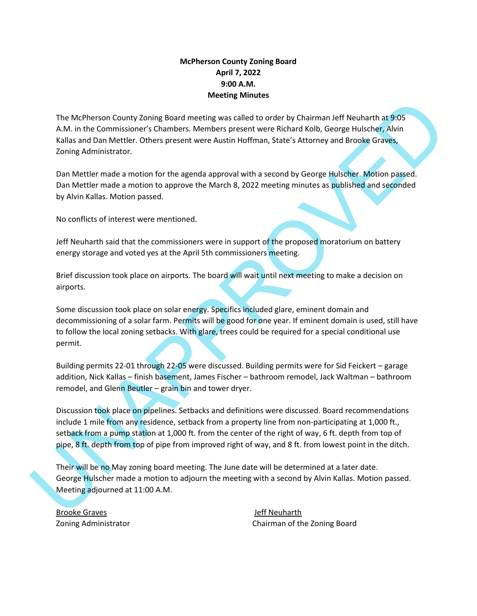## **McPherson County Zoning Board April 7, 2022 9:00 A.M. Meeting Minutes**

The McPherson County Zoning Board meeting was called to order by Chairman Jeff Neuharth at 9:05 A.M. in the Commissioner's Chambers. Members present were Richard Kolb, George Hulscher, Alvin Kallas and Dan Mettler. Others present were Austin Hoffman, State's Attorney and Brooke Graves, Zoning Administrator.

Dan Mettler made a motion for the agenda approval with a second by George Hulscher. Motion passed. Dan Mettler made a motion to approve the March 8, 2022 meeting minutes as published and seconded by Alvin Kallas. Motion passed.

No conflicts of interest were mentioned.

Jeff Neuharth said that the commissioners were in support of the proposed moratorium on battery energy storage and voted yes at the April 5th commissioners meeting.

Brief discussion took place on airports. The board will wait until next meeting to make a decision on airports.

The MdPhenon County Zoning Board meeting was called to order by Chairman Jeff Neuharth at 9:05<br>A.M. in the Commissions's Chambers. Members present were Bichard Kolh, George Hulsdows Arabia<br>Kaliks and Dan Mettler, Others pr Some discussion took place on solar energy. Specifics included glare, eminent domain and decommissioning of a solar farm. Permits will be good for one year. If eminent domain is used, still have to follow the local zoning setbacks. With glare, trees could be required for a special conditional use permit.

Building permits 22-01 through 22-05 were discussed. Building permits were for Sid Feickert – garage addition, Nick Kallas – finish basement, James Fischer – bathroom remodel, Jack Waltman – bathroom remodel, and Glenn Beutler – grain bin and tower dryer.

Discussion took place on pipelines. Setbacks and definitions were discussed. Board recommendations include 1 mile from any residence, setback from a property line from non-participating at 1,000 ft., setback from a pump station at 1,000 ft. from the center of the right of way, 6 ft. depth from top of pipe, 8 ft. depth from top of pipe from improved right of way, and 8 ft. from lowest point in the ditch.

Their will be no May zoning board meeting. The June date will be determined at a later date. George Hulscher made a motion to adjourn the meeting with a second by Alvin Kallas. Motion passed. Meeting adjourned at 11:00 A.M.

Brooke Graves and the state of the state of the US of the Jeff Neuharth

Zoning Administrator Chairman of the Zoning Board